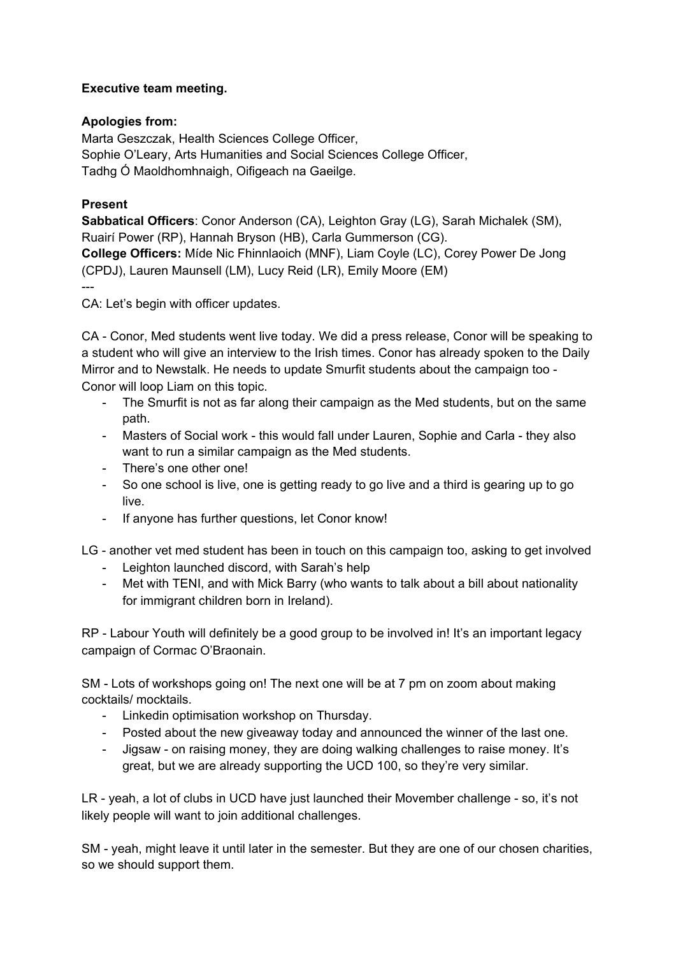## **Executive team meeting.**

## **Apologies from:**

Marta Geszczak, Health Sciences College Officer, Sophie O'Leary, Arts Humanities and Social Sciences College Officer, Tadhg Ó Maoldhomhnaigh, Oifigeach na Gaeilge.

## **Present**

**Sabbatical Officers**: Conor Anderson (CA), Leighton Gray (LG), Sarah Michalek (SM), Ruairí Power (RP), Hannah Bryson (HB), Carla Gummerson (CG). **College Officers:** Míde Nic Fhinnlaoich (MNF), Liam Coyle (LC), Corey Power De Jong (CPDJ), Lauren Maunsell (LM), Lucy Reid (LR), Emily Moore (EM) ---

CA: Let's begin with officer updates.

CA - Conor, Med students went live today. We did a press release, Conor will be speaking to a student who will give an interview to the Irish times. Conor has already spoken to the Daily Mirror and to Newstalk. He needs to update Smurfit students about the campaign too - Conor will loop Liam on this topic.

- The Smurfit is not as far along their campaign as the Med students, but on the same path.
- Masters of Social work this would fall under Lauren, Sophie and Carla they also want to run a similar campaign as the Med students.
- There's one other one!
- So one school is live, one is getting ready to go live and a third is gearing up to go live.
- If anyone has further questions, let Conor know!

LG - another vet med student has been in touch on this campaign too, asking to get involved

- Leighton launched discord, with Sarah's help
- Met with TENI, and with Mick Barry (who wants to talk about a bill about nationality for immigrant children born in Ireland).

RP - Labour Youth will definitely be a good group to be involved in! It's an important legacy campaign of Cormac O'Braonain.

SM - Lots of workshops going on! The next one will be at 7 pm on zoom about making cocktails/ mocktails.

- Linkedin optimisation workshop on Thursday.
- Posted about the new giveaway today and announced the winner of the last one.
- Jigsaw on raising money, they are doing walking challenges to raise money. It's great, but we are already supporting the UCD 100, so they're very similar.

LR - yeah, a lot of clubs in UCD have just launched their Movember challenge - so, it's not likely people will want to join additional challenges.

SM - yeah, might leave it until later in the semester. But they are one of our chosen charities, so we should support them.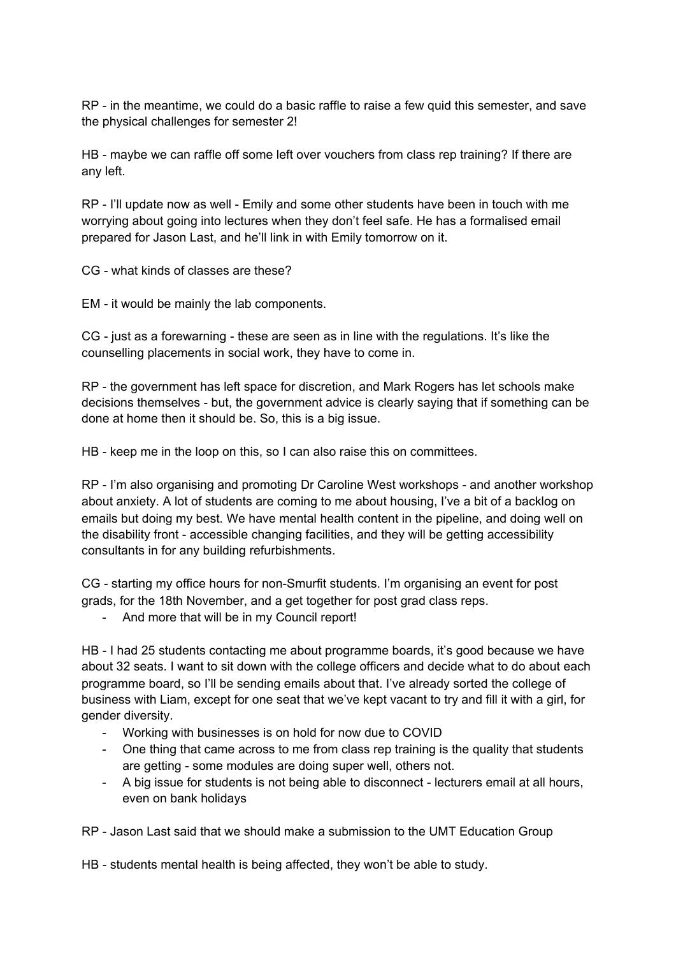RP - in the meantime, we could do a basic raffle to raise a few quid this semester, and save the physical challenges for semester 2!

HB - maybe we can raffle off some left over vouchers from class rep training? If there are any left.

RP - I'll update now as well - Emily and some other students have been in touch with me worrying about going into lectures when they don't feel safe. He has a formalised email prepared for Jason Last, and he'll link in with Emily tomorrow on it.

CG - what kinds of classes are these?

EM - it would be mainly the lab components.

CG - just as a forewarning - these are seen as in line with the regulations. It's like the counselling placements in social work, they have to come in.

RP - the government has left space for discretion, and Mark Rogers has let schools make decisions themselves - but, the government advice is clearly saying that if something can be done at home then it should be. So, this is a big issue.

HB - keep me in the loop on this, so I can also raise this on committees.

RP - I'm also organising and promoting Dr Caroline West workshops - and another workshop about anxiety. A lot of students are coming to me about housing, I've a bit of a backlog on emails but doing my best. We have mental health content in the pipeline, and doing well on the disability front - accessible changing facilities, and they will be getting accessibility consultants in for any building refurbishments.

CG - starting my office hours for non-Smurfit students. I'm organising an event for post grads, for the 18th November, and a get together for post grad class reps.

- And more that will be in my Council report!

HB - I had 25 students contacting me about programme boards, it's good because we have about 32 seats. I want to sit down with the college officers and decide what to do about each programme board, so I'll be sending emails about that. I've already sorted the college of business with Liam, except for one seat that we've kept vacant to try and fill it with a girl, for gender diversity.

- Working with businesses is on hold for now due to COVID
- One thing that came across to me from class rep training is the quality that students are getting - some modules are doing super well, others not.
- A big issue for students is not being able to disconnect lecturers email at all hours, even on bank holidays

RP - Jason Last said that we should make a submission to the UMT Education Group

HB - students mental health is being affected, they won't be able to study.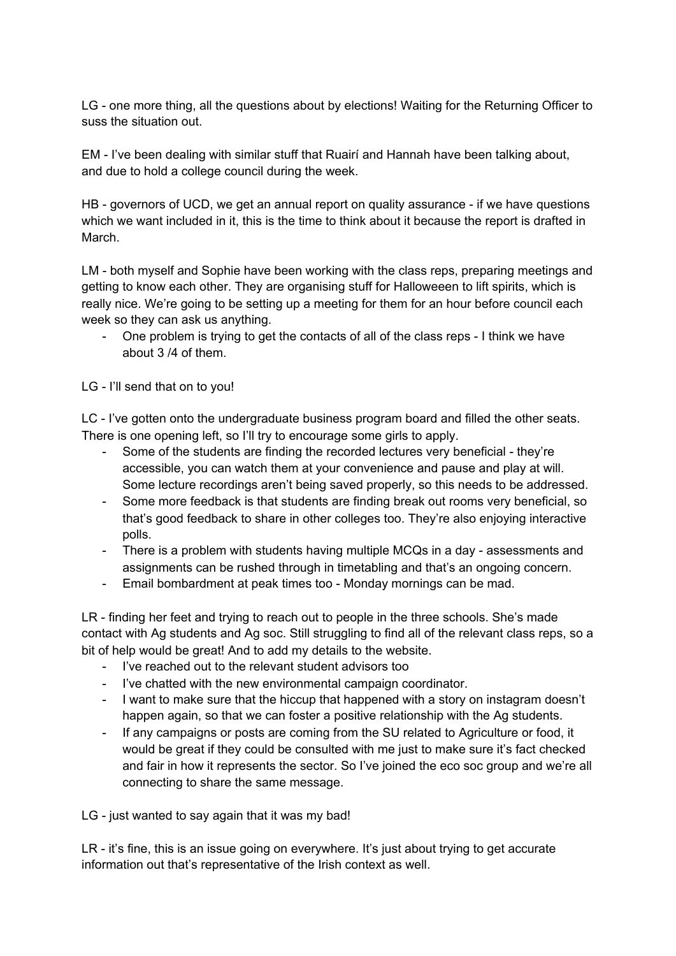LG - one more thing, all the questions about by elections! Waiting for the Returning Officer to suss the situation out.

EM - I've been dealing with similar stuff that Ruairí and Hannah have been talking about, and due to hold a college council during the week.

HB - governors of UCD, we get an annual report on quality assurance - if we have questions which we want included in it, this is the time to think about it because the report is drafted in March.

LM - both myself and Sophie have been working with the class reps, preparing meetings and getting to know each other. They are organising stuff for Halloweeen to lift spirits, which is really nice. We're going to be setting up a meeting for them for an hour before council each week so they can ask us anything.

- One problem is trying to get the contacts of all of the class reps - I think we have about 3 /4 of them.

LG - I'll send that on to you!

LC - I've gotten onto the undergraduate business program board and filled the other seats. There is one opening left, so I'll try to encourage some girls to apply.

- Some of the students are finding the recorded lectures very beneficial they're accessible, you can watch them at your convenience and pause and play at will. Some lecture recordings aren't being saved properly, so this needs to be addressed.
- Some more feedback is that students are finding break out rooms very beneficial, so that's good feedback to share in other colleges too. They're also enjoying interactive polls.
- There is a problem with students having multiple MCQs in a day assessments and assignments can be rushed through in timetabling and that's an ongoing concern.
- Email bombardment at peak times too Monday mornings can be mad.

LR - finding her feet and trying to reach out to people in the three schools. She's made contact with Ag students and Ag soc. Still struggling to find all of the relevant class reps, so a bit of help would be great! And to add my details to the website.

- I've reached out to the relevant student advisors too
- I've chatted with the new environmental campaign coordinator.
- I want to make sure that the hiccup that happened with a story on instagram doesn't happen again, so that we can foster a positive relationship with the Ag students.
- If any campaigns or posts are coming from the SU related to Agriculture or food, it would be great if they could be consulted with me just to make sure it's fact checked and fair in how it represents the sector. So I've joined the eco soc group and we're all connecting to share the same message.

LG - just wanted to say again that it was my bad!

LR - it's fine, this is an issue going on everywhere. It's just about trying to get accurate information out that's representative of the Irish context as well.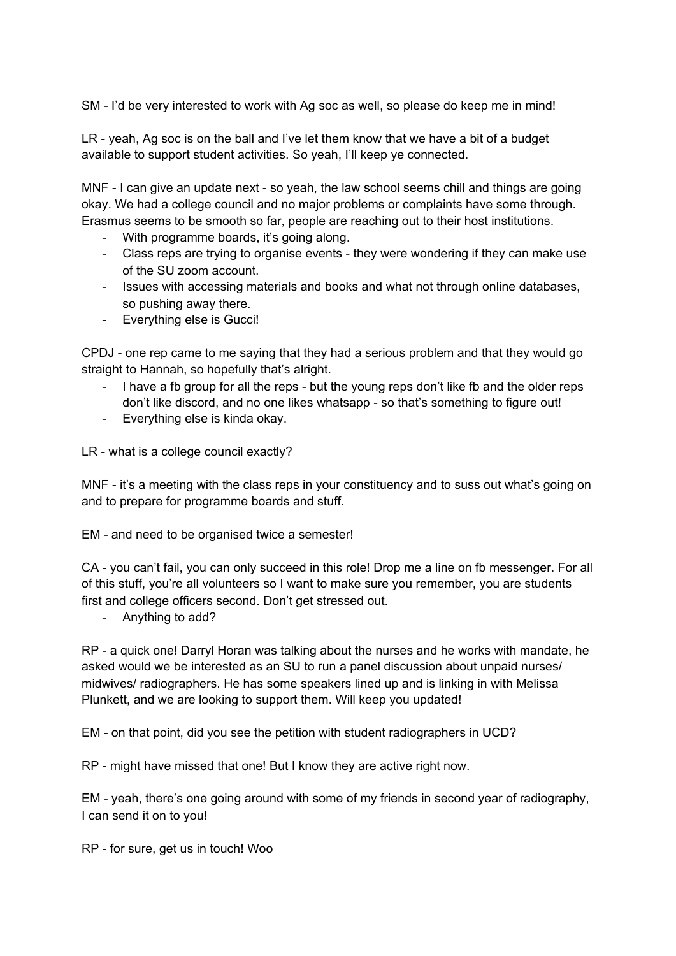SM - I'd be very interested to work with Ag soc as well, so please do keep me in mind!

LR - yeah, Ag soc is on the ball and I've let them know that we have a bit of a budget available to support student activities. So yeah, I'll keep ye connected.

MNF - I can give an update next - so yeah, the law school seems chill and things are going okay. We had a college council and no major problems or complaints have some through. Erasmus seems to be smooth so far, people are reaching out to their host institutions.

- With programme boards, it's going along.
- Class reps are trying to organise events they were wondering if they can make use of the SU zoom account.
- Issues with accessing materials and books and what not through online databases, so pushing away there.
- Everything else is Gucci!

CPDJ - one rep came to me saying that they had a serious problem and that they would go straight to Hannah, so hopefully that's alright.

- I have a fb group for all the reps but the young reps don't like fb and the older reps don't like discord, and no one likes whatsapp - so that's something to figure out!
- Everything else is kinda okay.

LR - what is a college council exactly?

MNF - it's a meeting with the class reps in your constituency and to suss out what's going on and to prepare for programme boards and stuff.

EM - and need to be organised twice a semester!

CA - you can't fail, you can only succeed in this role! Drop me a line on fb messenger. For all of this stuff, you're all volunteers so I want to make sure you remember, you are students first and college officers second. Don't get stressed out.

- Anything to add?

RP - a quick one! Darryl Horan was talking about the nurses and he works with mandate, he asked would we be interested as an SU to run a panel discussion about unpaid nurses/ midwives/ radiographers. He has some speakers lined up and is linking in with Melissa Plunkett, and we are looking to support them. Will keep you updated!

EM - on that point, did you see the petition with student radiographers in UCD?

RP - might have missed that one! But I know they are active right now.

EM - yeah, there's one going around with some of my friends in second year of radiography, I can send it on to you!

RP - for sure, get us in touch! Woo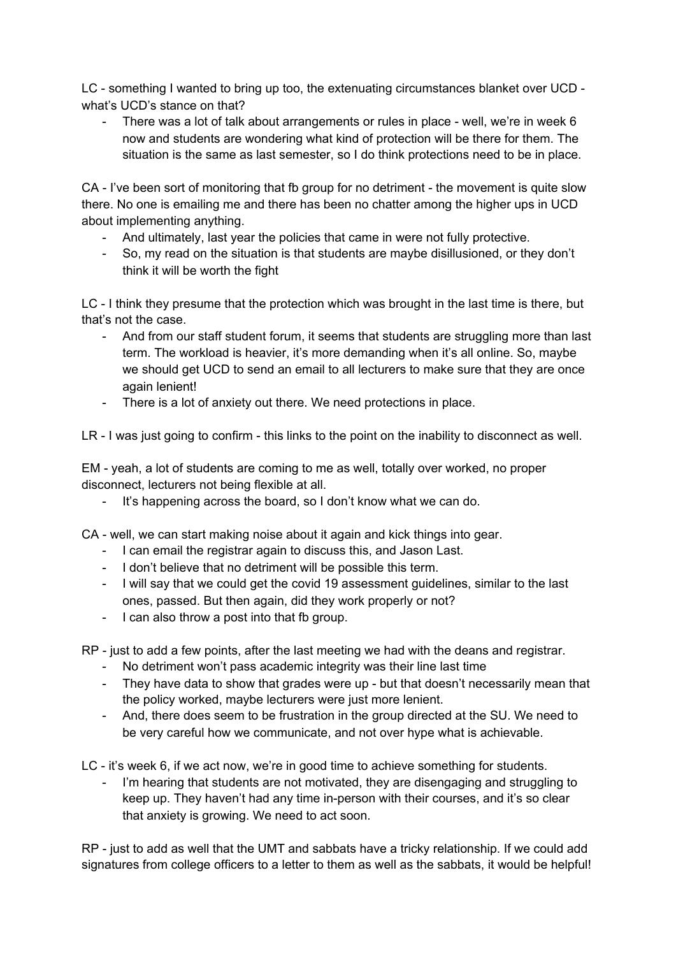LC - something I wanted to bring up too, the extenuating circumstances blanket over UCD what's UCD's stance on that?

There was a lot of talk about arrangements or rules in place - well, we're in week 6 now and students are wondering what kind of protection will be there for them. The situation is the same as last semester, so I do think protections need to be in place.

CA - I've been sort of monitoring that fb group for no detriment - the movement is quite slow there. No one is emailing me and there has been no chatter among the higher ups in UCD about implementing anything.

- And ultimately, last year the policies that came in were not fully protective.
- So, my read on the situation is that students are maybe disillusioned, or they don't think it will be worth the fight

LC - I think they presume that the protection which was brought in the last time is there, but that's not the case.

- And from our staff student forum, it seems that students are struggling more than last term. The workload is heavier, it's more demanding when it's all online. So, maybe we should get UCD to send an email to all lecturers to make sure that they are once again lenient!
- There is a lot of anxiety out there. We need protections in place.

LR - I was just going to confirm - this links to the point on the inability to disconnect as well.

EM - yeah, a lot of students are coming to me as well, totally over worked, no proper disconnect, lecturers not being flexible at all.

- It's happening across the board, so I don't know what we can do.

CA - well, we can start making noise about it again and kick things into gear.

- I can email the registrar again to discuss this, and Jason Last.
- I don't believe that no detriment will be possible this term.
- I will say that we could get the covid 19 assessment guidelines, similar to the last ones, passed. But then again, did they work properly or not?
- I can also throw a post into that fb group.

RP - just to add a few points, after the last meeting we had with the deans and registrar.

- No detriment won't pass academic integrity was their line last time
- They have data to show that grades were up but that doesn't necessarily mean that the policy worked, maybe lecturers were just more lenient.
- And, there does seem to be frustration in the group directed at the SU. We need to be very careful how we communicate, and not over hype what is achievable.

LC - it's week 6, if we act now, we're in good time to achieve something for students.

I'm hearing that students are not motivated, they are disengaging and struggling to keep up. They haven't had any time in-person with their courses, and it's so clear that anxiety is growing. We need to act soon.

RP - just to add as well that the UMT and sabbats have a tricky relationship. If we could add signatures from college officers to a letter to them as well as the sabbats, it would be helpful!